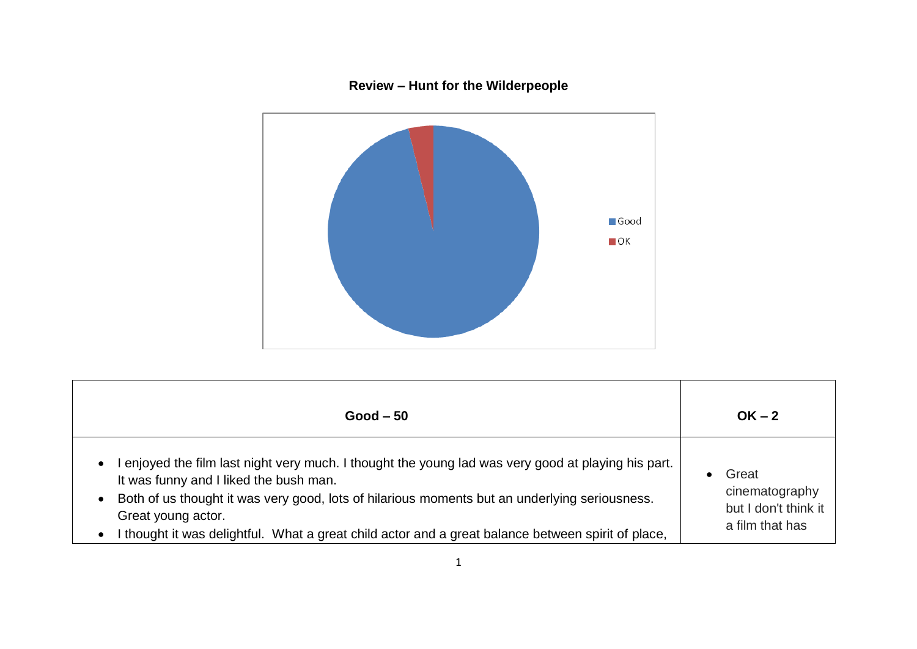## **Review – Hunt for the Wilderpeople**



| $Good - 50$                                                                                         | $OK - 2$             |
|-----------------------------------------------------------------------------------------------------|----------------------|
| I enjoyed the film last night very much. I thought the young lad was very good at playing his part. | Great                |
| It was funny and I liked the bush man.                                                              | $\bullet$            |
| Both of us thought it was very good, lots of hilarious moments but an underlying seriousness.       | cinematography       |
| Great young actor.                                                                                  | but I don't think it |
| I thought it was delightful. What a great child actor and a great balance between spirit of place,  | a film that has      |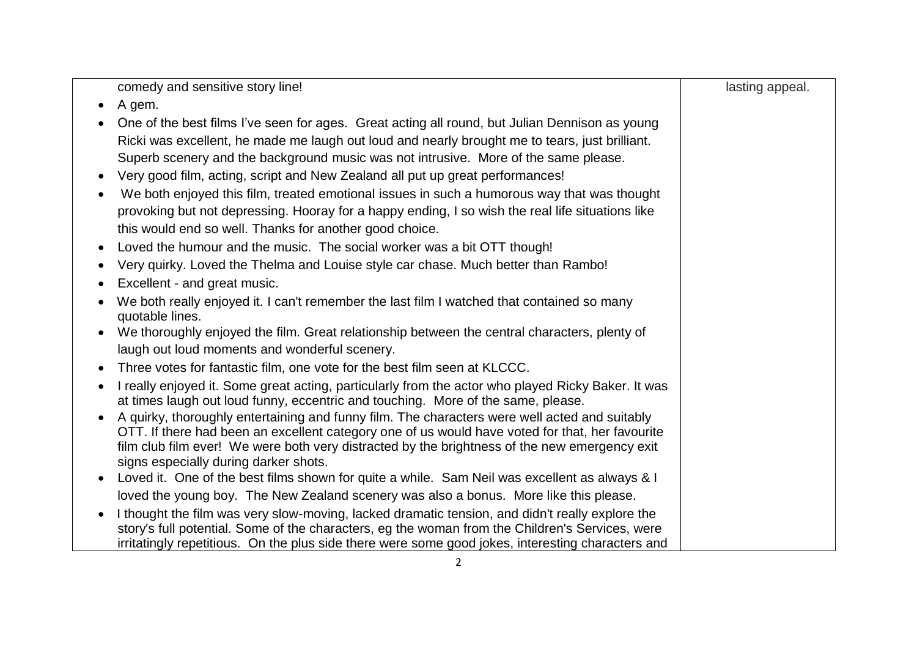| comedy and sensitive story line!                                                                                                                                                       | lasting appeal. |
|----------------------------------------------------------------------------------------------------------------------------------------------------------------------------------------|-----------------|
| A gem.                                                                                                                                                                                 |                 |
| One of the best films I've seen for ages. Great acting all round, but Julian Dennison as young                                                                                         |                 |
| Ricki was excellent, he made me laugh out loud and nearly brought me to tears, just brilliant.                                                                                         |                 |
| Superb scenery and the background music was not intrusive. More of the same please.                                                                                                    |                 |
| Very good film, acting, script and New Zealand all put up great performances!                                                                                                          |                 |
| We both enjoyed this film, treated emotional issues in such a humorous way that was thought                                                                                            |                 |
| provoking but not depressing. Hooray for a happy ending, I so wish the real life situations like                                                                                       |                 |
| this would end so well. Thanks for another good choice.                                                                                                                                |                 |
| Loved the humour and the music. The social worker was a bit OTT though!                                                                                                                |                 |
| Very quirky. Loved the Thelma and Louise style car chase. Much better than Rambo!                                                                                                      |                 |
| Excellent - and great music.                                                                                                                                                           |                 |
| We both really enjoyed it. I can't remember the last film I watched that contained so many                                                                                             |                 |
| quotable lines.                                                                                                                                                                        |                 |
| We thoroughly enjoyed the film. Great relationship between the central characters, plenty of                                                                                           |                 |
| laugh out loud moments and wonderful scenery.                                                                                                                                          |                 |
| Three votes for fantastic film, one vote for the best film seen at KLCCC.                                                                                                              |                 |
| I really enjoyed it. Some great acting, particularly from the actor who played Ricky Baker. It was<br>at times laugh out loud funny, eccentric and touching. More of the same, please. |                 |
| A quirky, thoroughly entertaining and funny film. The characters were well acted and suitably                                                                                          |                 |
| OTT. If there had been an excellent category one of us would have voted for that, her favourite                                                                                        |                 |
| film club film ever! We were both very distracted by the brightness of the new emergency exit                                                                                          |                 |
| signs especially during darker shots.                                                                                                                                                  |                 |
| Loved it. One of the best films shown for quite a while. Sam Neil was excellent as always & I                                                                                          |                 |
| loved the young boy. The New Zealand scenery was also a bonus. More like this please.                                                                                                  |                 |
| I thought the film was very slow-moving, lacked dramatic tension, and didn't really explore the                                                                                        |                 |
| story's full potential. Some of the characters, eg the woman from the Children's Services, were                                                                                        |                 |
| irritatingly repetitious. On the plus side there were some good jokes, interesting characters and                                                                                      |                 |